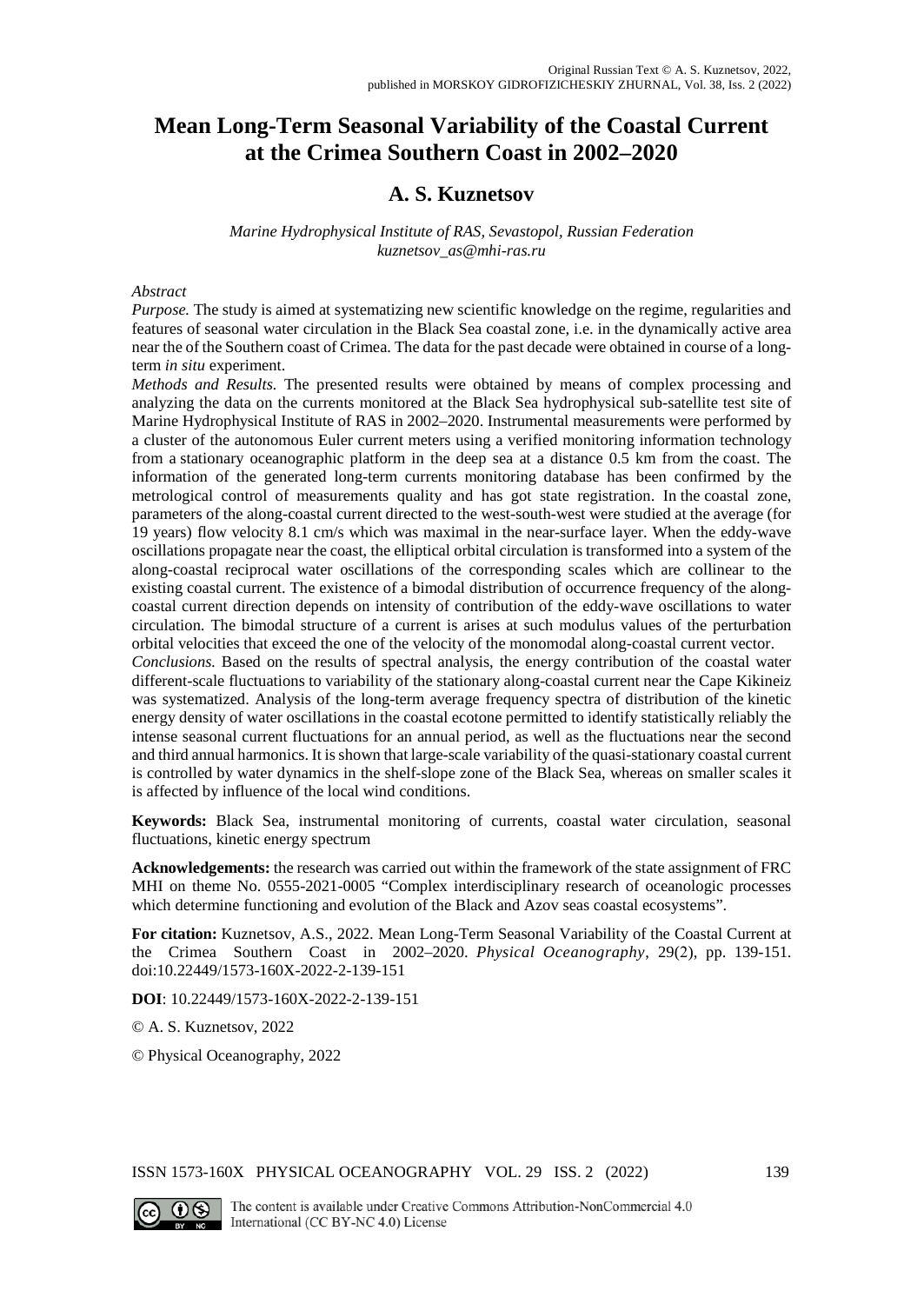# **Mean Long-Term Seasonal Variability of the Coastal Current at the Crimea Southern Coast in 2002–2020**

# **A. S. Kuznetsov**

### *Marine Hydrophysical Institute of RAS, Sevastopol, Russian Federation [kuznetsov\\_as@mhi-ras.ru](mailto:kuznetsov_as@mhi-ras.ru)*

### *Abstract*

*Purpose.* The study is aimed at systematizing new scientific knowledge on the regime, regularities and features of seasonal water circulation in the Black Sea coastal zone, i.e. in the dynamically active area near the of the Southern coast of Crimea. The data for the past decade were obtained in course of a longterm *in situ* experiment.

*Methods and Results.* The presented results were obtained by means of complex processing and analyzing the data on the currents monitored at the Black Sea hydrophysical sub-satellite test site of Marine Hydrophysical Institute of RAS in 2002–2020. Instrumental measurements were performed by a cluster of the autonomous Euler current meters using a verified monitoring information technology from a stationary oceanographic platform in the deep sea at a distance 0.5 km from the coast. The information of the generated long-term currents monitoring database has been confirmed by the metrological control of measurements quality and has got state registration. In the coastal zone, parameters of the along-coastal current directed to the west-south-west were studied at the average (for 19 years) flow velocity 8.1 cm/s which was maximal in the near-surface layer. When the eddy-wave oscillations propagate near the coast, the elliptical orbital circulation is transformed into a system of the along-coastal reciprocal water oscillations of the corresponding scales which are collinear to the existing coastal current. The existence of a bimodal distribution of occurrence frequency of the alongcoastal current direction depends on intensity of contribution of the eddy-wave oscillations to water circulation. The bimodal structure of a current is arises at such modulus values of the perturbation orbital velocities that exceed the one of the velocity of the monomodal along-coastal current vector.

*Conclusions.* Based on the results of spectral analysis, the energy contribution of the coastal water different-scale fluctuations to variability of the stationary along-coastal current near the Cape Kikineiz was systematized. Analysis of the long-term average frequency spectra of distribution of the kinetic energy density of water oscillations in the coastal ecotone permitted to identify statistically reliably the intense seasonal current fluctuations for an annual period, as well as the fluctuations near the second and third annual harmonics. It is shown that large-scale variability of the quasi-stationary coastal current is controlled by water dynamics in the shelf-slope zone of the Black Sea, whereas on smaller scales it is affected by influence of the local wind conditions.

**Keywords:** Black Sea, instrumental monitoring of currents, coastal water circulation, seasonal fluctuations, kinetic energy spectrum

**Acknowledgements:** the research was carried out within the framework of the state assignment of FRC MHI on theme No. 0555-2021-0005 "Complex interdisciplinary research of oceanologic processes which determine functioning and evolution of the Black and Azov seas coastal ecosystems".

**For citation:** Kuznetsov, A.S., 2022. Mean Long-Term Seasonal Variability of the Coastal Current at the Crimea Southern Coast in 2002–2020. *Physical Oceanography*, 29(2), pp. 139-151. doi:10.22449/1573-160X-2022-2-139-151

**DOI**: 10.22449/1573-160X-2022-2-139-151

© A. S. Kuznetsov, 2022

© Physical Oceanography, 2022

ISSN 1573-160X PHYSICAL OCEANOGRAPHY VOL. 29 ISS. 2 (2022) 139



The content is available under Creative Commons Attribution-NonCommercial 4.0 International (CC BY-NC 4.0) License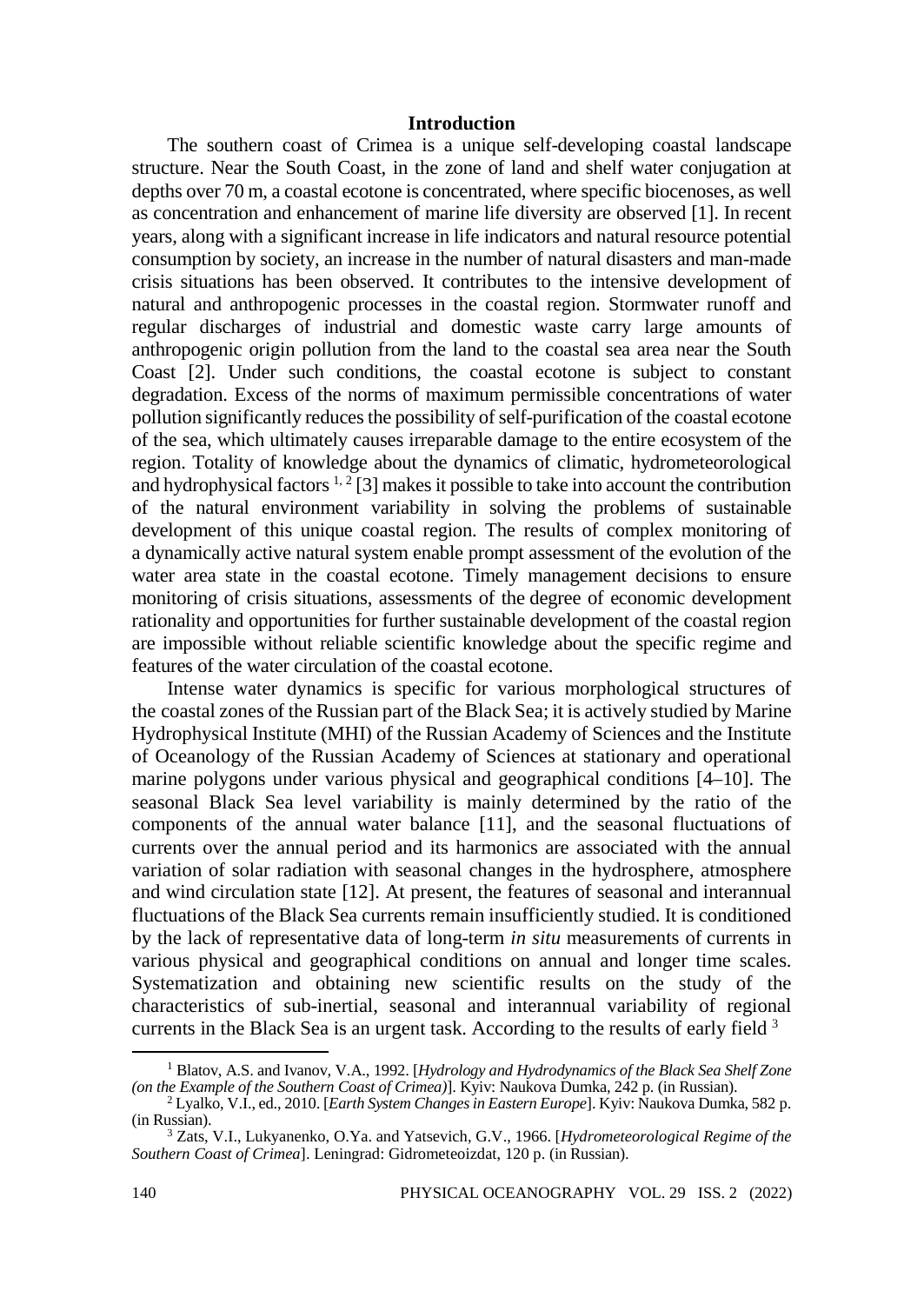## **Introduction**

The southern coast of Crimea is a unique self-developing coastal landscape structure. Near the South Coast, in the zone of land and shelf water conjugation at depths over 70 m, a coastal ecotone is concentrated, where specific biocenoses, as well as concentration and enhancement of marine life diversity are observed [1]. In recent years, along with a significant increase in life indicators and natural resource potential consumption by society, an increase in the number of natural disasters and man-made crisis situations has been observed. It contributes to the intensive development of natural and anthropogenic processes in the coastal region. Stormwater runoff and regular discharges of industrial and domestic waste carry large amounts of anthropogenic origin pollution from the land to the coastal sea area near the South Coast [2]. Under such conditions, the coastal ecotone is subject to constant degradation. Excess of the norms of maximum permissible concentrations of water pollution significantly reduces the possibility of self-purification of the coastal ecotone of the sea, which ultimately causes irreparable damage to the entire ecosystem of the region. Totality of knowledge about the dynamics of climatic, hydrometeorological and hydrophysical factors  $1, 2$  [3] makes it possible to take into account the contribution of the natural environment variability in solving the problems of sustainable development of this unique coastal region. The results of complex monitoring of a dynamically active natural system enable prompt assessment of the evolution of the water area state in the coastal ecotone. Timely management decisions to ensure monitoring of crisis situations, assessments of the degree of economic development rationality and opportunities for further sustainable development of the coastal region are impossible without reliable scientific knowledge about the specific regime and features of the water circulation of the coastal ecotone.

Intense water dynamics is specific for various morphological structures of the coastal zones of the Russian part of the Black Sea; it is actively studied by Marine Hydrophysical Institute (MHI) of the Russian Academy of Sciences and the Institute of Oceanology of the Russian Academy of Sciences at stationary and operational marine polygons under various physical and geographical conditions [4–10]. The seasonal Black Sea level variability is mainly determined by the ratio of the components of the annual water balance [11], and the seasonal fluctuations of currents over the annual period and its harmonics are associated with the annual variation of solar radiation with seasonal changes in the hydrosphere, atmosphere and wind circulation state [12]. At present, the features of seasonal and interannual fluctuations of the Black Sea currents remain insufficiently studied. It is conditioned by the lack of representative data of long-term *in situ* measurements of currents in various physical and geographical conditions on annual and longer time scales. Systematization and obtaining new scientific results on the study of the characteristics of sub-inertial, seasonal and interannual variability of regional currents in the Black Sea is an urgent task. According to the results of early field <sup>3</sup>

<sup>1</sup> Blatov, A.S. and Ivanov, V.A., 1992. [*Hydrology and Hydrodynamics of the Black Sea Shelf Zone* 

*<sup>(</sup>on the Example of the Southern Coast of Crimea)*]. Kyiv: Naukova Dumka, 242 p. (in Russian). <sup>2</sup> Lyalko, V.I., ed., 2010. [*Earth System Changes in Eastern Europe*]. Kyiv: Naukova Dumka, <sup>582</sup> p. (in Russian). <sup>3</sup> Zats, V.I., Lukyanenko, O.Ya. and Yatsevich, G.V., 1966. [*Hydrometeorological Regime of the* 

*Southern Coast of Crimea*]. Leningrad: Gidrometeoizdat, 120 p. (in Russian).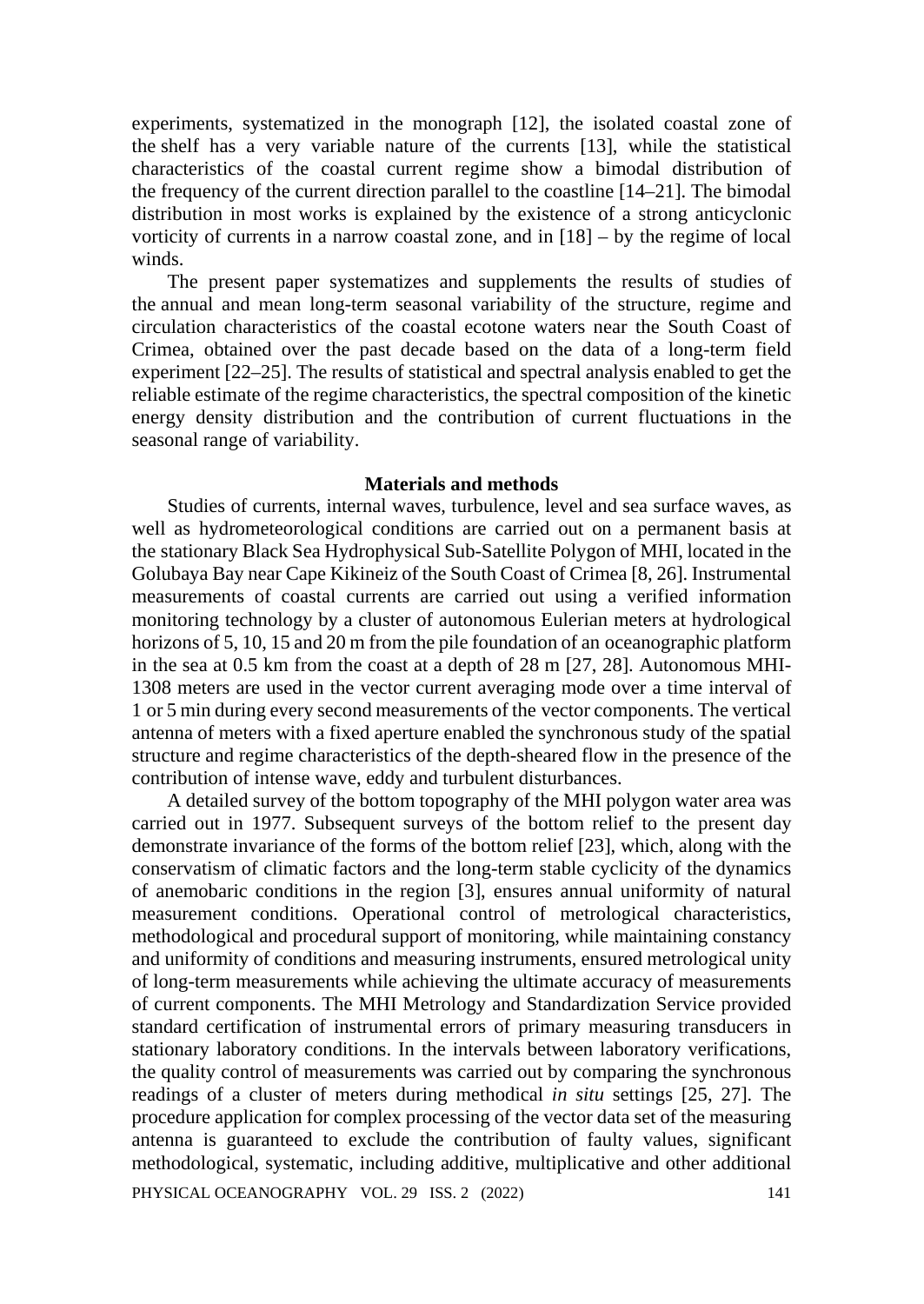experiments, systematized in the monograph [12], the isolated coastal zone of the shelf has a very variable nature of the currents [13], while the statistical characteristics of the coastal current regime show a bimodal distribution of the frequency of the current direction parallel to the coastline [14–21]. The bimodal distribution in most works is explained by the existence of a strong anticyclonic vorticity of currents in a narrow coastal zone, and in [18] – by the regime of local winds.

The present paper systematizes and supplements the results of studies of the annual and mean long-term seasonal variability of the structure, regime and circulation characteristics of the coastal ecotone waters near the South Coast of Crimea, obtained over the past decade based on the data of a long-term field experiment [22–25]. The results of statistical and spectral analysis enabled to get the reliable estimate of the regime characteristics, the spectral composition of the kinetic energy density distribution and the contribution of current fluctuations in the seasonal range of variability.

# **Materials and methods**

Studies of currents, internal waves, turbulence, level and sea surface waves, as well as hydrometeorological conditions are carried out on a permanent basis at the stationary Black Sea Hydrophysical Sub-Satellite Polygon of MHI, located in the Golubaya Bay near Cape Kikineiz of the South Coast of Crimea [8, 26]. Instrumental measurements of coastal currents are carried out using a verified information monitoring technology by a cluster of autonomous Eulerian meters at hydrological horizons of 5, 10, 15 and 20 m from the pile foundation of an oceanographic platform in the sea at 0.5 km from the coast at a depth of 28 m [27, 28]. Autonomous MHI-1308 meters are used in the vector current averaging mode over a time interval of 1 or 5 min during every second measurements of the vector components. The vertical antenna of meters with a fixed aperture enabled the synchronous study of the spatial structure and regime characteristics of the depth-sheared flow in the presence of the contribution of intense wave, eddy and turbulent disturbances.

A detailed survey of the bottom topography of the MHI polygon water area was carried out in 1977. Subsequent surveys of the bottom relief to the present day demonstrate invariance of the forms of the bottom relief [23], which, along with the conservatism of climatic factors and the long-term stable cyclicity of the dynamics of anemobaric conditions in the region [3], ensures annual uniformity of natural measurement conditions. Operational control of metrological characteristics, methodological and procedural support of monitoring, while maintaining constancy and uniformity of conditions and measuring instruments, ensured metrological unity of long-term measurements while achieving the ultimate accuracy of measurements of current components. The MHI Metrology and Standardization Service provided standard certification of instrumental errors of primary measuring transducers in stationary laboratory conditions. In the intervals between laboratory verifications, the quality control of measurements was carried out by comparing the synchronous readings of a cluster of meters during methodical *in situ* settings [25, 27]. The procedure application for complex processing of the vector data set of the measuring antenna is guaranteed to exclude the contribution of faulty values, significant methodological, systematic, including additive, multiplicative and other additional

PHYSICAL OCEANOGRAPHY VOL. 29 ISS. 2 (2022) 141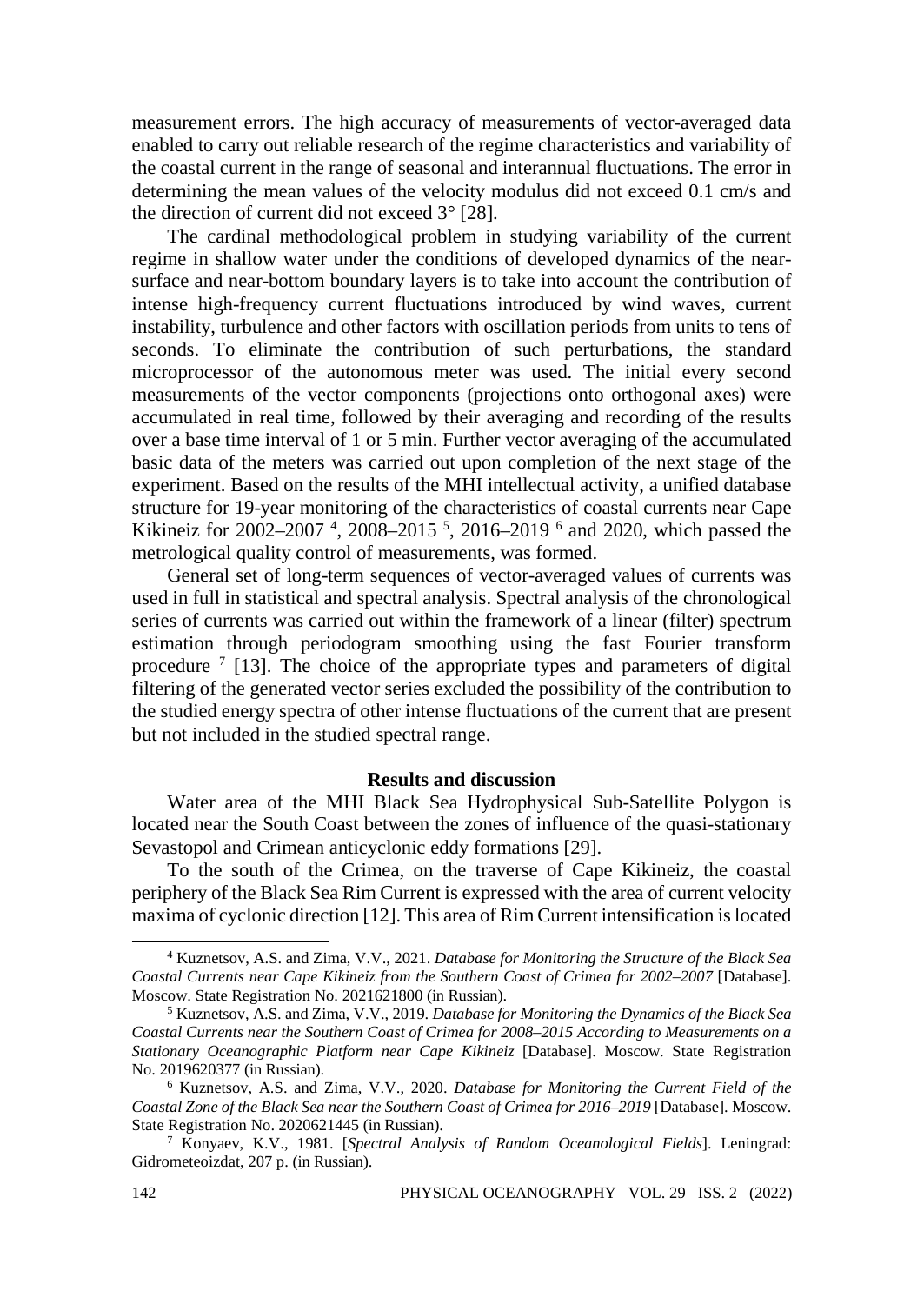measurement errors. The high accuracy of measurements of vector-averaged data enabled to carry out reliable research of the regime characteristics and variability of the coastal current in the range of seasonal and interannual fluctuations. The error in determining the mean values of the velocity modulus did not exceed 0.1 cm/s and the direction of current did not exceed 3° [28].

The cardinal methodological problem in studying variability of the current regime in shallow water under the conditions of developed dynamics of the nearsurface and near-bottom boundary layers is to take into account the contribution of intense high-frequency current fluctuations introduced by wind waves, current instability, turbulence and other factors with oscillation periods from units to tens of seconds. To eliminate the contribution of such perturbations, the standard microprocessor of the autonomous meter was used. The initial every second measurements of the vector components (projections onto orthogonal axes) were accumulated in real time, followed by their averaging and recording of the results over a base time interval of 1 or 5 min. Further vector averaging of the accumulated basic data of the meters was carried out upon completion of the next stage of the experiment. Based on the results of the MHI intellectual activity, a unified database structure for 19-year monitoring of the characteristics of coastal currents near Cape Kikineiz for 2002–2007<sup>4</sup>, 2008–2015<sup>5</sup>, 2016–2019<sup>6</sup> and 2020, which passed the metrological quality control of measurements, was formed.

General set of long-term sequences of vector-averaged values of currents was used in full in statistical and spectral analysis. Spectral analysis of the chronological series of currents was carried out within the framework of a linear (filter) spectrum estimation through periodogram smoothing using the fast Fourier transform procedure  $\frac{7}{13}$ . The choice of the appropriate types and parameters of digital filtering of the generated vector series excluded the possibility of the contribution to the studied energy spectra of other intense fluctuations of the current that are present but not included in the studied spectral range.

### **Results and discussion**

Water area of the MHI Black Sea Hydrophysical Sub-Satellite Polygon is located near the South Coast between the zones of influence of the quasi-stationary Sevastopol and Crimean anticyclonic eddy formations [29].

To the south of the Crimea, on the traverse of Cape Kikineiz, the coastal periphery of the Black Sea Rim Current is expressed with the area of current velocity maxima of cyclonic direction [12]. This area of Rim Current intensification is located

<sup>4</sup> Kuznetsov, A.S. and Zima, V.V., 2021. *Database for Monitoring the Structure of the Black Sea Coastal Currents near Cape Kikineiz from the Southern Coast of Crimea for 2002–2007* [Database]. Moscow. State Registration No. 2021621800 (in Russian).

<sup>5</sup> Kuznetsov, A.S. and Zima, V.V., 2019. *Database for Monitoring the Dynamics of the Black Sea Coastal Currents near the Southern Coast of Crimea for 2008–2015 According to Measurements on a Stationary Oceanographic Platform near Cape Kikineiz* [Database]. Moscow. State Registration No. 2019620377 (in Russian).

<sup>6</sup> Kuznetsov, A.S. and Zima, V.V., 2020. *Database for Monitoring the Current Field of the Coastal Zone of the Black Sea near the Southern Coast of Crimea for 2016–2019* [Database]. Moscow. State Registration No. 2020621445 (in Russian).

<sup>7</sup> Konyaev, K.V., 1981. [*Spectral Analysis of Random Oceanological Fields*]. Leningrad: Gidrometeoizdat, 207 p. (in Russian).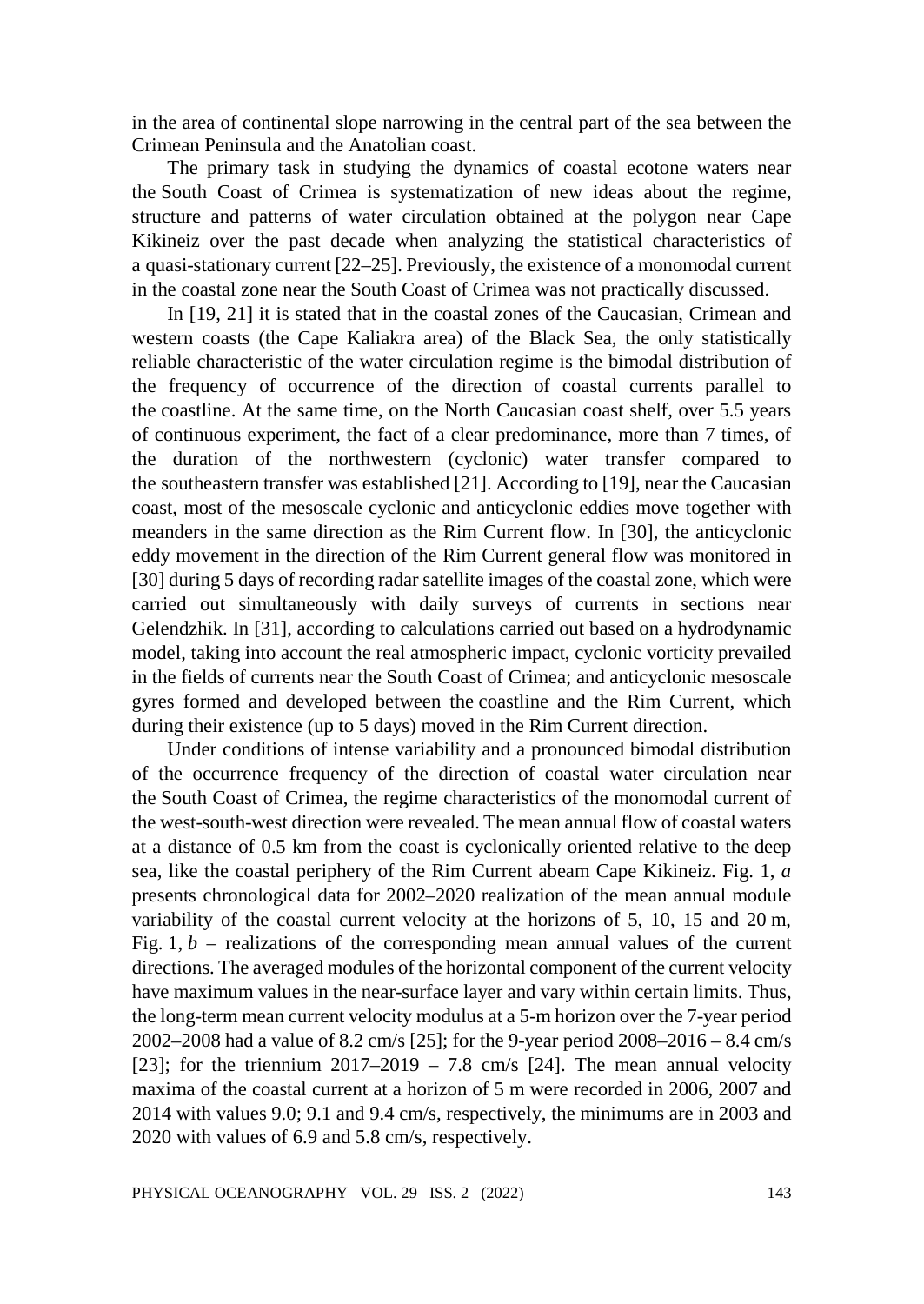in the area of continental slope narrowing in the central part of the sea between the Crimean Peninsula and the Anatolian coast.

The primary task in studying the dynamics of coastal ecotone waters near the South Coast of Crimea is systematization of new ideas about the regime, structure and patterns of water circulation obtained at the polygon near Cape Kikineiz over the past decade when analyzing the statistical characteristics of a quasi-stationary current [22–25]. Previously, the existence of a monomodal current in the coastal zone near the South Coast of Crimea was not practically discussed.

In [19, 21] it is stated that in the coastal zones of the Caucasian, Crimean and western coasts (the Cape Kaliakra area) of the Black Sea, the only statistically reliable characteristic of the water circulation regime is the bimodal distribution of the frequency of occurrence of the direction of coastal currents parallel to the coastline. At the same time, on the North Caucasian coast shelf, over 5.5 years of continuous experiment, the fact of a clear predominance, more than 7 times, of the duration of the northwestern (cyclonic) water transfer compared to the southeastern transfer was established [21]. According to [19], near the Caucasian coast, most of the mesoscale cyclonic and anticyclonic eddies move together with meanders in the same direction as the Rim Current flow. In [30], the anticyclonic eddy movement in the direction of the Rim Current general flow was monitored in [30] during 5 days of recording radar satellite images of the coastal zone, which were carried out simultaneously with daily surveys of currents in sections near Gelendzhik. In [31], according to calculations carried out based on a hydrodynamic model, taking into account the real atmospheric impact, cyclonic vorticity prevailed in the fields of currents near the South Coast of Crimea; and anticyclonic mesoscale gyres formed and developed between the coastline and the Rim Current, which during their existence (up to 5 days) moved in the Rim Current direction.

Under conditions of intense variability and a pronounced bimodal distribution of the occurrence frequency of the direction of coastal water circulation near the South Coast of Crimea, the regime characteristics of the monomodal current of the west-south-west direction were revealed. The mean annual flow of coastal waters at a distance of 0.5 km from the coast is cyclonically oriented relative to the deep sea, like the coastal periphery of the Rim Current abeam Cape Kikineiz. Fig. 1, *a* presents chronological data for 2002–2020 realization of the mean annual module variability of the coastal current velocity at the horizons of 5, 10, 15 and 20 m, Fig.  $1, b$  – realizations of the corresponding mean annual values of the current directions. The averaged modules of the horizontal component of the current velocity have maximum values in the near-surface layer and vary within certain limits. Thus, the long-term mean current velocity modulus at a 5-m horizon over the 7-year period 2002–2008 had a value of 8.2 cm/s [25]; for the 9-year period 2008–2016 – 8.4 cm/s [23]; for the triennium  $2017-2019 - 7.8$  cm/s [24]. The mean annual velocity maxima of the coastal current at a horizon of 5 m were recorded in 2006, 2007 and 2014 with values 9.0; 9.1 and 9.4 cm/s, respectively, the minimums are in 2003 and 2020 with values of 6.9 and 5.8 cm/s, respectively.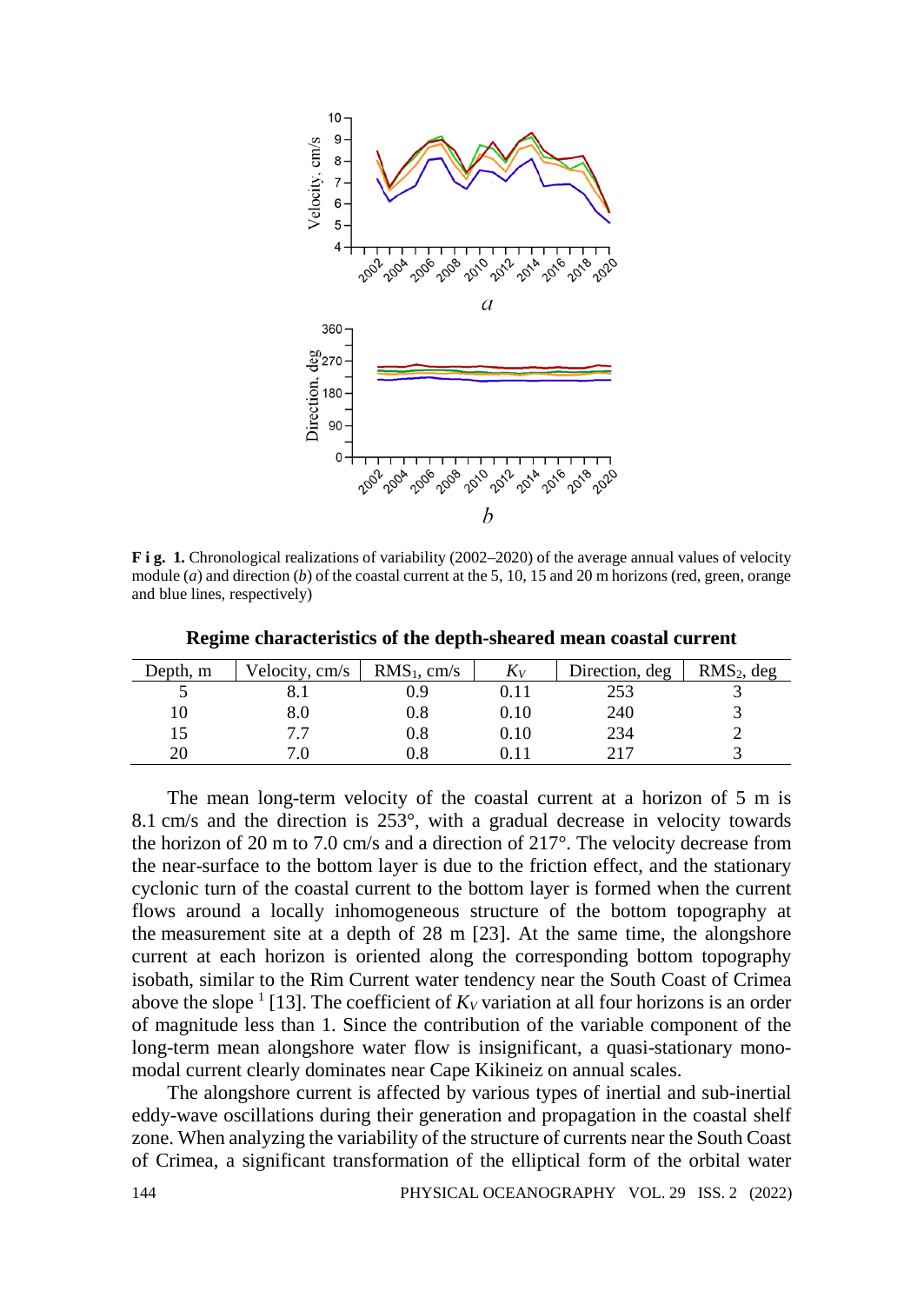

**F i g. 1.** Chronological realizations of variability (2002–2020) of the average annual values of velocity module (*a*) and direction (*b*) of the coastal current at the 5, 10, 15 and 20 m horizons (red, green, orange and blue lines, respectively)

| Depth, m | Velocity, cm/s | $RMS_1$ , cm/s | $K_V$ | Direction, deg | $RMS2$ , deg |
|----------|----------------|----------------|-------|----------------|--------------|
|          |                | 0.9            |       | 253            |              |
|          | 8.0            | 0.8            | 0.10  | 240            |              |
|          |                | $0.8\,$        | 0.10  | 234            |              |
| 20       |                | $\rm 0.8$      |       | 217            |              |

**Regime characteristics of the depth-sheared mean coastal current** 

The mean long-term velocity of the coastal current at a horizon of 5 m is 8.1 cm/s and the direction is 253°, with a gradual decrease in velocity towards the horizon of 20 m to 7.0 cm/s and a direction of 217°. The velocity decrease from the near-surface to the bottom layer is due to the friction effect, and the stationary cyclonic turn of the coastal current to the bottom layer is formed when the current flows around a locally inhomogeneous structure of the bottom topography at the measurement site at a depth of 28 m [23]. At the same time, the alongshore current at each horizon is oriented along the corresponding bottom topography isobath, similar to the Rim Current water tendency near the South Coast of Crimea above the slope  $\frac{1}{13}$ . The coefficient of  $K_V$  variation at all four horizons is an order of magnitude less than 1. Since the contribution of the variable component of the long-term mean alongshore water flow is insignificant, a quasi-stationary monomodal current clearly dominates near Cape Kikineiz on annual scales.

The alongshore current is affected by various types of inertial and sub-inertial eddy-wave oscillations during their generation and propagation in the coastal shelf zone. When analyzing the variability of the structure of currents near the South Coast of Crimea, a significant transformation of the elliptical form of the orbital water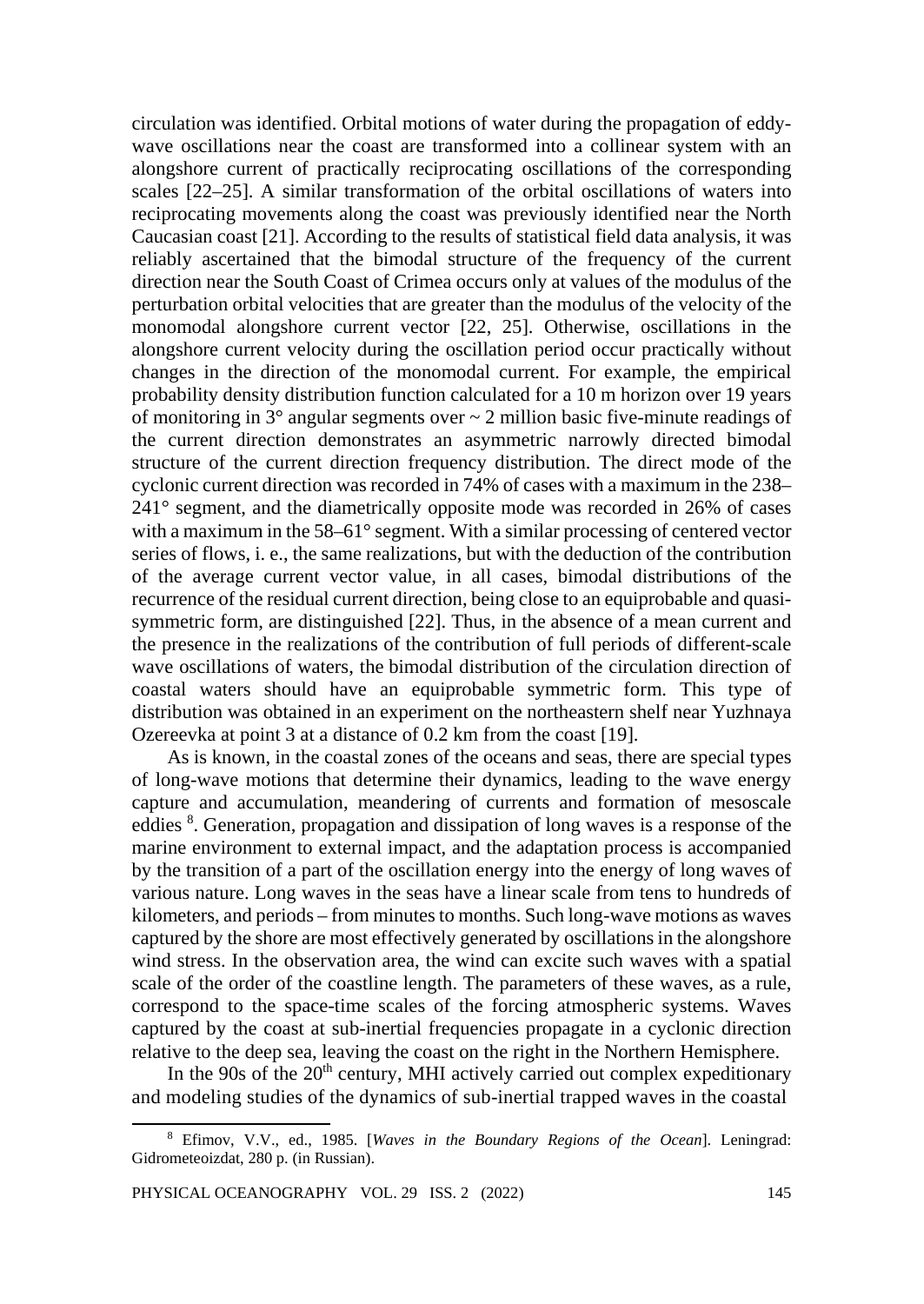circulation was identified. Orbital motions of water during the propagation of eddywave oscillations near the coast are transformed into a collinear system with an alongshore current of practically reciprocating oscillations of the corresponding scales [22–25]. A similar transformation of the orbital oscillations of waters into reciprocating movements along the coast was previously identified near the North Caucasian coast [21]. According to the results of statistical field data analysis, it was reliably ascertained that the bimodal structure of the frequency of the current direction near the South Coast of Crimea occurs only at values of the modulus of the perturbation orbital velocities that are greater than the modulus of the velocity of the monomodal alongshore current vector [22, 25]. Otherwise, oscillations in the alongshore current velocity during the oscillation period occur practically without changes in the direction of the monomodal current. For example, the empirical probability density distribution function calculated for a 10 m horizon over 19 years of monitoring in  $3^\circ$  angular segments over  $\sim 2$  million basic five-minute readings of the current direction demonstrates an asymmetric narrowly directed bimodal structure of the current direction frequency distribution. The direct mode of the cyclonic current direction was recorded in 74% of cases with a maximum in the 238– 241° segment, and the diametrically opposite mode was recorded in 26% of cases with a maximum in the 58–61° segment. With a similar processing of centered vector series of flows, i. e., the same realizations, but with the deduction of the contribution of the average current vector value, in all cases, bimodal distributions of the recurrence of the residual current direction, being close to an equiprobable and quasisymmetric form, are distinguished [22]. Thus, in the absence of a mean current and the presence in the realizations of the contribution of full periods of different-scale wave oscillations of waters, the bimodal distribution of the circulation direction of coastal waters should have an equiprobable symmetric form. This type of distribution was obtained in an experiment on the northeastern shelf near Yuzhnaya Ozereevka at point 3 at a distance of 0.2 km from the coast [19].

As is known, in the coastal zones of the oceans and seas, there are special types of long-wave motions that determine their dynamics, leading to the wave energy capture and accumulation, meandering of currents and formation of mesoscale eddies <sup>8</sup>. Generation, propagation and dissipation of long waves is a response of the marine environment to external impact, and the adaptation process is accompanied by the transition of a part of the oscillation energy into the energy of long waves of various nature. Long waves in the seas have a linear scale from tens to hundreds of kilometers, and periods – from minutes to months. Such long-wave motions as waves captured by the shore are most effectively generated by oscillations in the alongshore wind stress. In the observation area, the wind can excite such waves with a spatial scale of the order of the coastline length. The parameters of these waves, as a rule, correspond to the space-time scales of the forcing atmospheric systems. Waves captured by the coast at sub-inertial frequencies propagate in a cyclonic direction relative to the deep sea, leaving the coast on the right in the Northern Hemisphere.

In the 90s of the  $20<sup>th</sup>$  century, MHI actively carried out complex expeditionary and modeling studies of the dynamics of sub-inertial trapped waves in the coastal

<sup>8</sup> Efimov, V.V., ed., 1985. [*Waves in the Boundary Regions of the Ocean*]. Leningrad: Gidrometeoizdat, 280 p. (in Russian).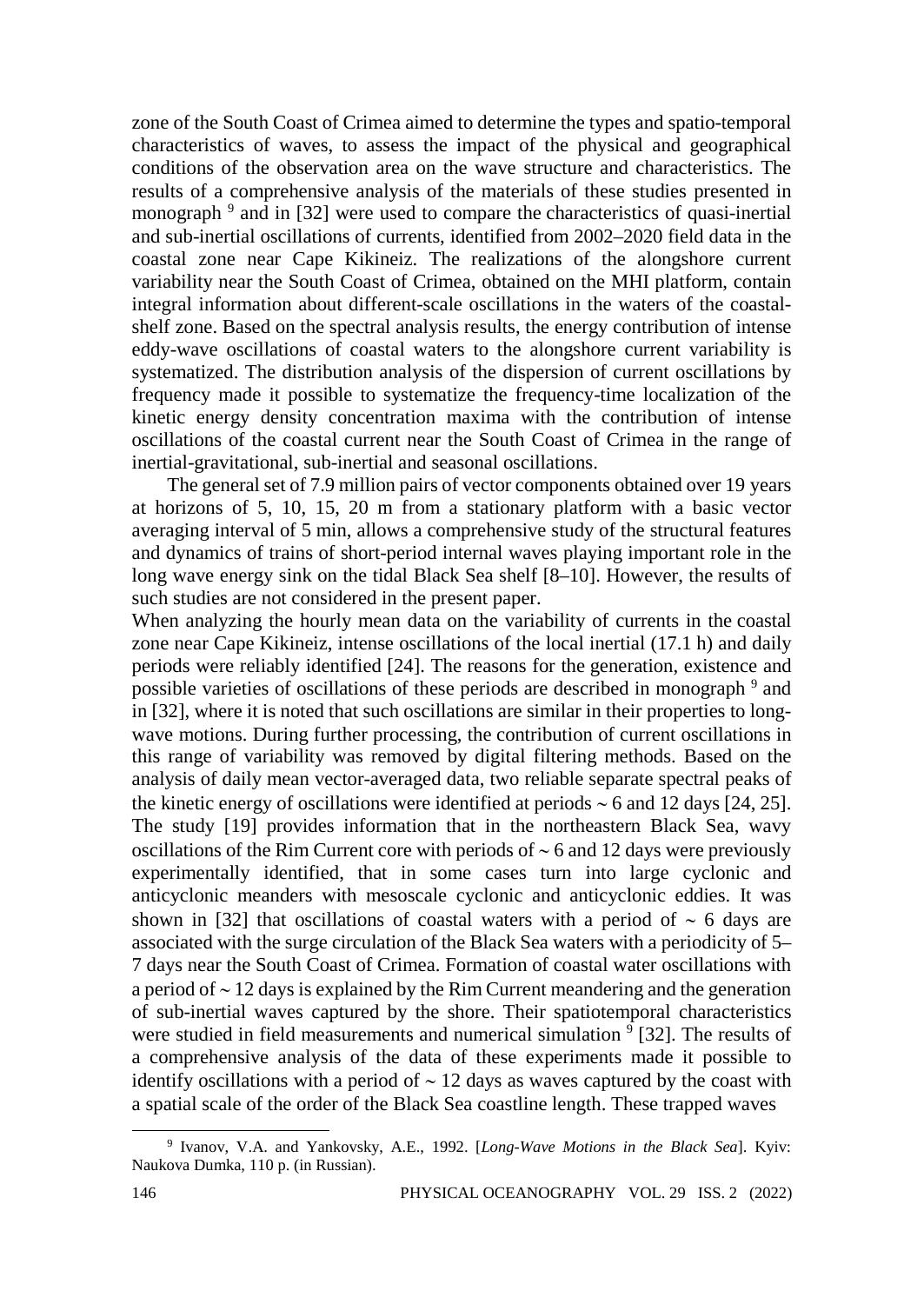zone of the South Coast of Crimea aimed to determine the types and spatio-temporal characteristics of waves, to assess the impact of the physical and geographical conditions of the observation area on the wave structure and characteristics. The results of a comprehensive analysis of the materials of these studies presented in monograph<sup>9</sup> and in [32] were used to compare the characteristics of quasi-inertial and sub-inertial oscillations of currents, identified from 2002–2020 field data in the coastal zone near Cape Kikineiz. The realizations of the alongshore current variability near the South Coast of Crimea, obtained on the MHI platform, contain integral information about different-scale oscillations in the waters of the coastalshelf zone. Based on the spectral analysis results, the energy contribution of intense eddy-wave oscillations of coastal waters to the alongshore current variability is systematized. The distribution analysis of the dispersion of current oscillations by frequency made it possible to systematize the frequency-time localization of the kinetic energy density concentration maxima with the contribution of intense oscillations of the coastal current near the South Coast of Crimea in the range of inertial-gravitational, sub-inertial and seasonal oscillations.

The general set of 7.9 million pairs of vector components obtained over 19 years at horizons of 5, 10, 15, 20 m from a stationary platform with a basic vector averaging interval of 5 min, allows a comprehensive study of the structural features and dynamics of trains of short-period internal waves playing important role in the long wave energy sink on the tidal Black Sea shelf [8–10]. However, the results of such studies are not considered in the present paper.

When analyzing the hourly mean data on the variability of currents in the coastal zone near Cape Kikineiz, intense oscillations of the local inertial (17.1 h) and daily periods were reliably identified [24]. The reasons for the generation, existence and possible varieties of oscillations of these periods are described in monograph 9 and in [32], where it is noted that such oscillations are similar in their properties to longwave motions. During further processing, the contribution of current oscillations in this range of variability was removed by digital filtering methods. Based on the analysis of daily mean vector-averaged data, two reliable separate spectral peaks of the kinetic energy of oscillations were identified at periods ∼ 6 and 12 days [24, 25]. The study [19] provides information that in the northeastern Black Sea, wavy oscillations of the Rim Current core with periods of ∼ 6 and 12 days were previously experimentally identified, that in some cases turn into large cyclonic and anticyclonic meanders with mesoscale cyclonic and anticyclonic eddies. It was shown in [32] that oscillations of coastal waters with a period of ∼ 6 days are associated with the surge circulation of the Black Sea waters with a periodicity of 5– 7 days near the South Coast of Crimea. Formation of coastal water oscillations with a period of ∼ 12 days is explained by the Rim Current meandering and the generation of sub-inertial waves captured by the shore. Their spatiotemporal characteristics were studied in field measurements and numerical simulation  $\frac{9}{9}$  [32]. The results of a comprehensive analysis of the data of these experiments made it possible to identify oscillations with a period of ∼ 12 days as waves captured by the coast with a spatial scale of the order of the Black Sea coastline length. These trapped waves

<sup>9</sup> Ivanov, V.A. and Yankovsky, A.E., 1992. [*Long-Wave Motions in the Black Sea*]. Kyiv: Naukova Dumka, 110 p. (in Russian).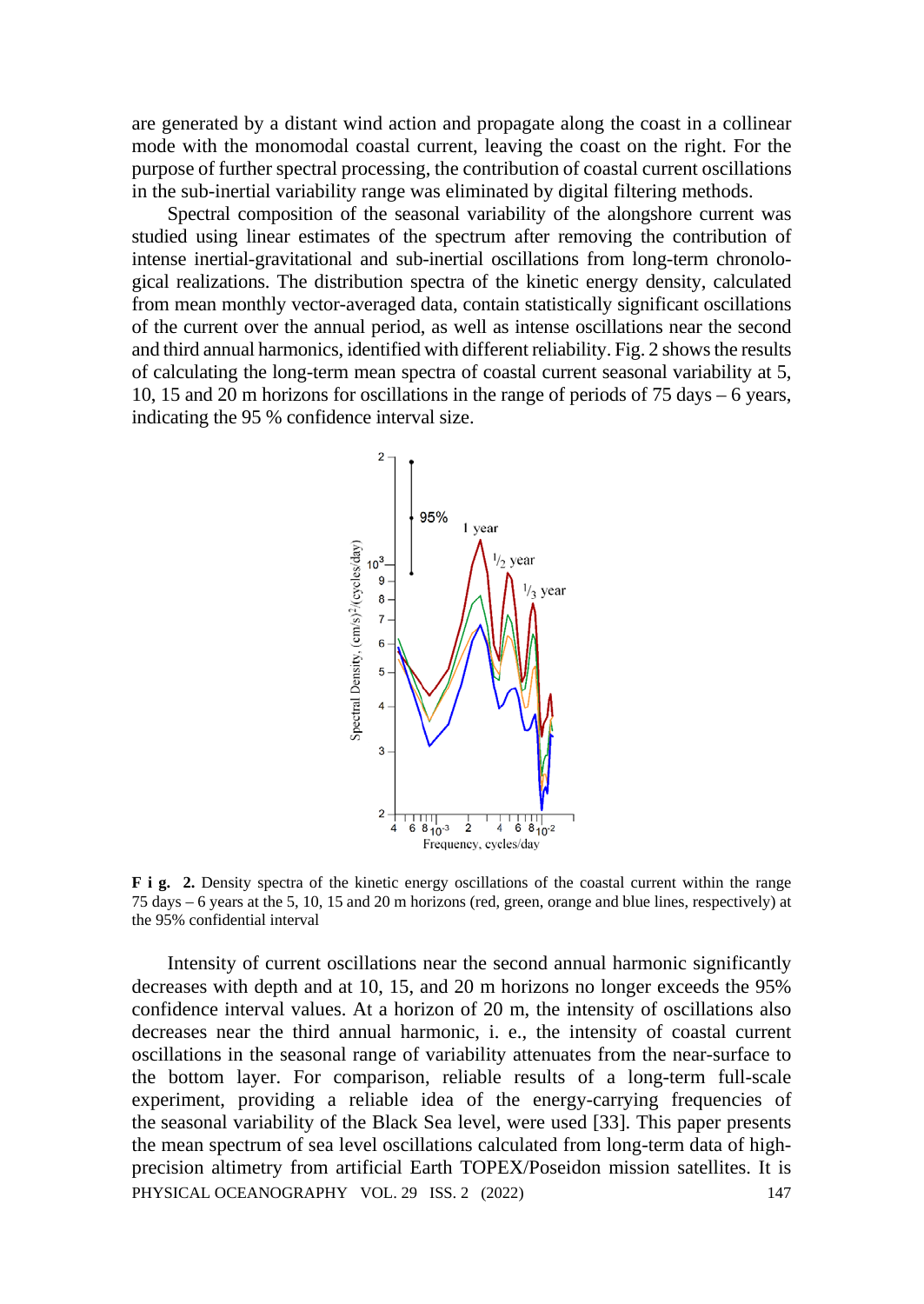are generated by a distant wind action and propagate along the coast in a collinear mode with the monomodal coastal current, leaving the coast on the right. For the purpose of further spectral processing, the contribution of coastal current oscillations in the sub-inertial variability range was eliminated by digital filtering methods.

Spectral composition of the seasonal variability of the alongshore current was studied using linear estimates of the spectrum after removing the contribution of intense inertial-gravitational and sub-inertial oscillations from long-term chronological realizations. The distribution spectra of the kinetic energy density, calculated from mean monthly vector-averaged data, contain statistically significant oscillations of the current over the annual period, as well as intense oscillations near the second and third annual harmonics, identified with different reliability. Fig. 2 shows the results of calculating the long-term mean spectra of coastal current seasonal variability at 5, 10, 15 and 20 m horizons for oscillations in the range of periods of 75 days – 6 years, indicating the 95 % confidence interval size.



**F i g. 2.** Density spectra of the kinetic energy oscillations of the coastal current within the range 75 days – 6 years at the 5, 10, 15 and 20 m horizons (red, green, orange and blue lines, respectively) at the 95% confidential interval

Intensity of current oscillations near the second annual harmonic significantly decreases with depth and at 10, 15, and 20 m horizons no longer exceeds the 95% confidence interval values. At a horizon of 20 m, the intensity of oscillations also decreases near the third annual harmonic, i. e., the intensity of coastal current oscillations in the seasonal range of variability attenuates from the near-surface to the bottom layer. For comparison, reliable results of a long-term full-scale experiment, providing a reliable idea of the energy-carrying frequencies of the seasonal variability of the Black Sea level, were used [33]. This paper presents the mean spectrum of sea level oscillations calculated from long-term data of highprecision altimetry from artificial Earth TOPEX/Poseidon mission satellites. It is PHYSICAL OCEANOGRAPHY VOL. 29 ISS. 2 (2022) 147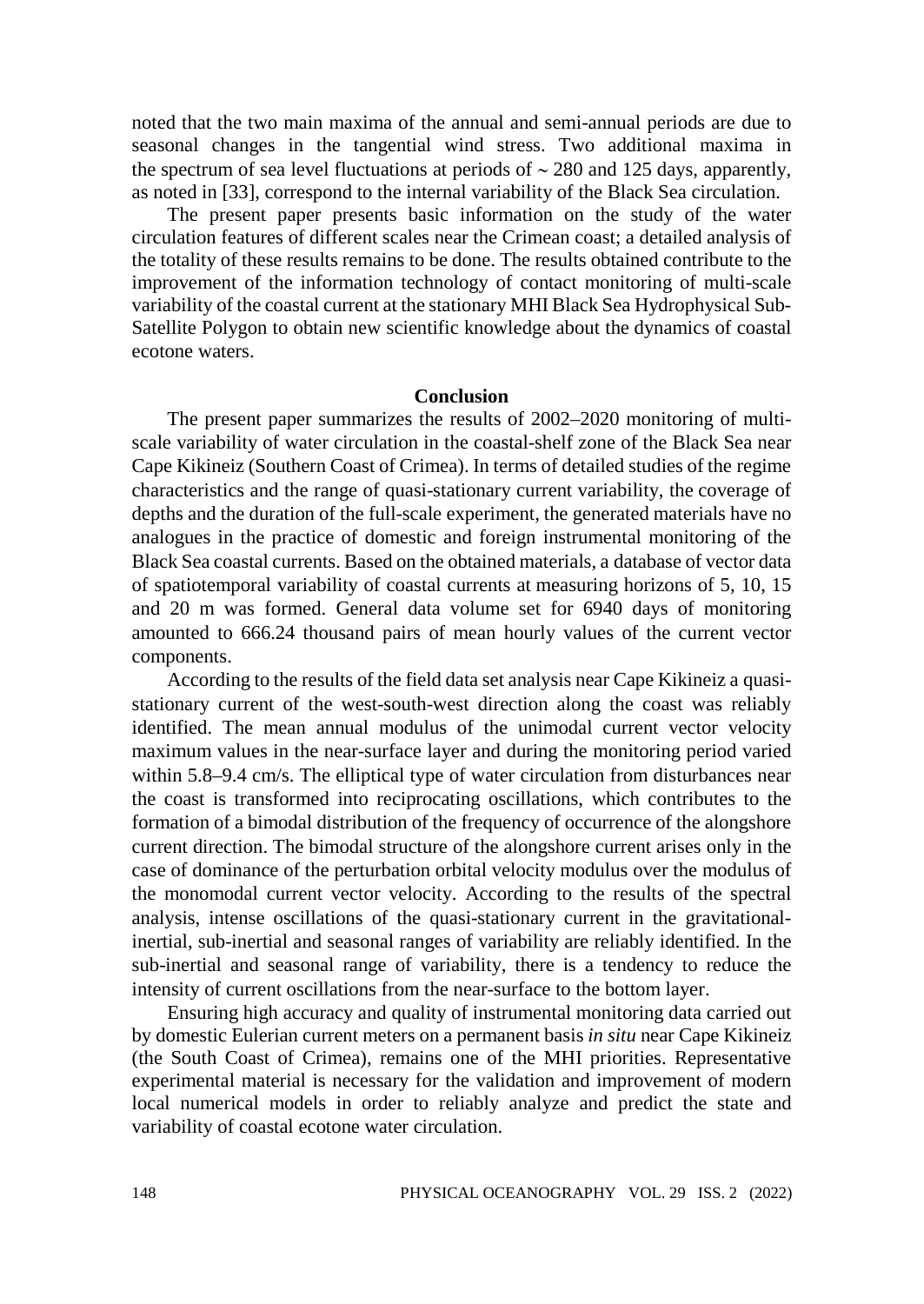noted that the two main maxima of the annual and semi-annual periods are due to seasonal changes in the tangential wind stress. Two additional maxima in the spectrum of sea level fluctuations at periods of ∼ 280 and 125 days, apparently, as noted in [33], correspond to the internal variability of the Black Sea circulation.

The present paper presents basic information on the study of the water circulation features of different scales near the Crimean coast; a detailed analysis of the totality of these results remains to be done. The results obtained contribute to the improvement of the information technology of contact monitoring of multi-scale variability of the coastal current at the stationary MHI Black Sea Hydrophysical Sub-Satellite Polygon to obtain new scientific knowledge about the dynamics of coastal ecotone waters.

### **Conclusion**

The present paper summarizes the results of 2002–2020 monitoring of multiscale variability of water circulation in the coastal-shelf zone of the Black Sea near Cape Kikineiz (Southern Coast of Crimea). In terms of detailed studies of the regime characteristics and the range of quasi-stationary current variability, the coverage of depths and the duration of the full-scale experiment, the generated materials have no analogues in the practice of domestic and foreign instrumental monitoring of the Black Sea coastal currents. Based on the obtained materials, a database of vector data of spatiotemporal variability of coastal currents at measuring horizons of 5, 10, 15 and 20 m was formed. General data volume set for 6940 days of monitoring amounted to 666.24 thousand pairs of mean hourly values of the current vector components.

According to the results of the field data set analysis near Cape Kikineiz a quasistationary current of the west-south-west direction along the coast was reliably identified. The mean annual modulus of the unimodal current vector velocity maximum values in the near-surface layer and during the monitoring period varied within 5.8–9.4 cm/s. The elliptical type of water circulation from disturbances near the coast is transformed into reciprocating oscillations, which contributes to the formation of a bimodal distribution of the frequency of occurrence of the alongshore current direction. The bimodal structure of the alongshore current arises only in the case of dominance of the perturbation orbital velocity modulus over the modulus of the monomodal current vector velocity. According to the results of the spectral analysis, intense oscillations of the quasi-stationary current in the gravitationalinertial, sub-inertial and seasonal ranges of variability are reliably identified. In the sub-inertial and seasonal range of variability, there is a tendency to reduce the intensity of current oscillations from the near-surface to the bottom layer.

Ensuring high accuracy and quality of instrumental monitoring data carried out by domestic Eulerian current meters on a permanent basis *in situ* near Cape Kikineiz (the South Coast of Crimea), remains one of the MHI priorities. Representative experimental material is necessary for the validation and improvement of modern local numerical models in order to reliably analyze and predict the state and variability of coastal ecotone water circulation.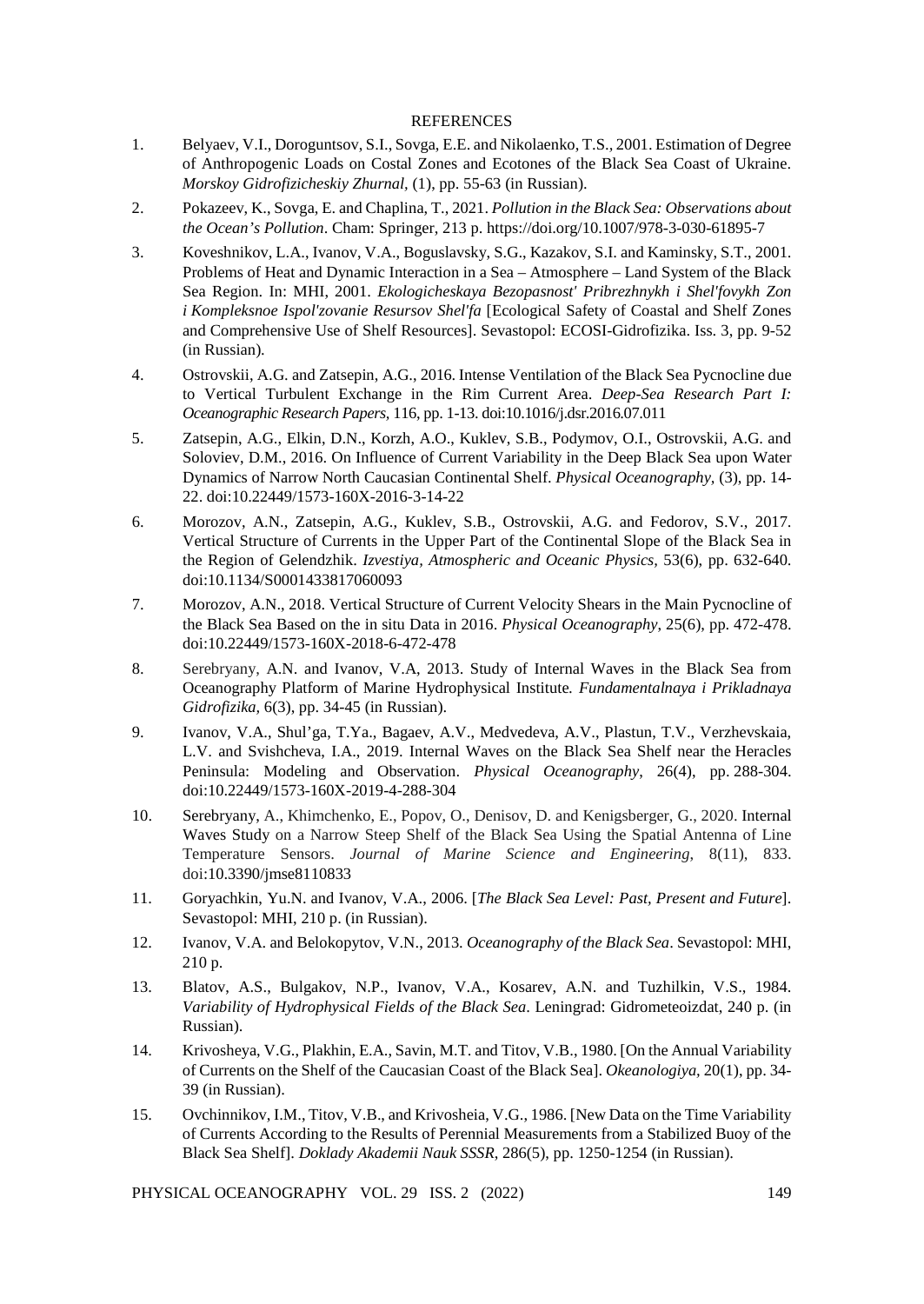#### REFERENCES

- 1. Belyaev, V.I., Doroguntsov, S.I., Sovga, E.E. and Nikolaenko, T.S.*,* 2001. Estimation of Degree of Anthropogenic Loads on Costal Zones and Ecotones of the Black Sea Coast of Ukraine. *Morskoy Gidrofizicheskiy Zhurnal,* (1), pp. 55-63 (in Russian).
- 2. Pokazeev, K., Sovga, E. and Chaplina, T., 2021. *Pollution in the Black Sea: Observations about the Ocean's Pollution*. Cham: Springer, 213 p. https://doi.org/10.1007/978-3-030-61895-7
- 3. Koveshnikov, L.A., Ivanov, V.A., Boguslavsky, S.G., Kazakov, S.I. and Kaminsky, S.T., 2001. Problems of Heat and Dynamic Interaction in a Sea – Atmosphere – Land System of the Black Sea Region. In: MHI, 2001. *Ekologicheskaya Bezopasnost' Pribrezhnykh i Shel'fovykh Zon i Kompleksnoe Ispol'zovanie Resursov Shel'fa* [Ecological Safety of Coastal and Shelf Zones and Comprehensive Use of Shelf Resources]. Sevastopol: ECOSI-Gidrofizika. Iss. 3, pp. 9-52 (in Russian).
- 4. Ostrovskii, A.G. and Zatsepin, A.G., 2016. Intense Ventilation of the Black Sea Pycnocline due to Vertical Turbulent Exchange in the Rim Current Area. *Deep-Sea Research Part I: Oceanographic Research Papers,* 116, pp. 1-13. doi:10.1016/j.dsr.2016.07.011
- 5. Zatsepin, A.G., Elkin, D.N., Korzh, A.O., Kuklev, S.B., Podymov, O.I., Ostrovskii, A.G. and Soloviev, D.M., 2016. On Influence of Current Variability in the Deep Black Sea upon Water Dynamics of Narrow North Caucasian Continental Shelf. *Physical Oceanography,* (3), pp. 14- 22. doi:10.22449/1573-160X-2016-3-14-22
- 6. Morozov, A.N., Zatsepin, A.G., Kuklev, S.B., Ostrovskii, A.G. and Fedorov, S.V., 2017. Vertical Structure of Currents in the Upper Part of the Continental Slope of the Black Sea in the Region of Gelendzhik. *Izvestiya, Atmospheric and Oceanic Physics,* 53(6), pp. 632-640. doi:10.1134/S0001433817060093
- 7. Morozov, A.N., 2018. Vertical Structure of Current Velocity Shears in the Main Pycnocline of the Black Sea Based on the in situ Data in 2016. *Physical Oceanography*, 25(6), pp. 472-478. doi:10.22449/1573-160X-2018-6-472-478
- 8. Serebryany, A.N. and Ivanov, V.A, 2013. Study of Internal Waves in the Black Sea from Oceanography Platform of Marine Hydrophysical Institute*. Fundamentalnaya i Prikladnaya Gidrofizika,* 6(3), pp. 34-45 (in Russian).
- 9. Ivanov, V.A., Shul'ga, T.Ya., Bagaev, A.V., Medvedeva, A.V., Plastun, T.V., Verzhevskaia, L.V. and Svishcheva, I.A., 2019. Internal Waves on the Black Sea Shelf near the Heracles Peninsula: Modeling and Observation. *Physical Oceanography*, 26(4), pp. 288-304. doi:10.22449/1573-160X-2019-4-288-304
- 10. Serebryany, A., Khimchenko, E., Popov, O., Denisov, D. and Kenigsberger, G., 2020. Internal Waves Study on a Narrow Steep Shelf of the Black Sea Using the Spatial Antenna of Line Temperature Sensors. *Journal of Marine Science and Engineering*, 8(11), 833. doi:10.3390/jmse8110833
- 11. Goryachkin, Yu.N. and Ivanov, V.A., 2006. [*The Black Sea Level: Past, Present and Future*]. Sevastopol: MHI, 210 p. (in Russian).
- 12. Ivanov, V.A. and Belokopytov, V.N., 2013. *Oceanography of the Black Sea*. Sevastopol: MHI, 210 p.
- 13. Blatov, A.S., Bulgakov, N.P., Ivanov, V.A., Kosarev, A.N. and Tuzhilkin, V.S., 1984. *Variability of Hydrophysical Fields of the Black Sea*. Leningrad: Gidrometeoizdat, 240 p. (in Russian).
- 14. Krivosheya, V.G., Plakhin, E.A., Savin, M.T. and Titov, V.B., 1980. [On the Annual Variability of Currents on the Shelf of the Caucasian Coast of the Black Sea]. *Okeanologiya,* 20(1), pp. 34- 39 (in Russian).
- 15. Ovchinnikov, I.M., Titov, V.B., and Krivosheia, V.G., 1986. [New Data on the Time Variability of Currents According to the Results of Perennial Measurements from a Stabilized Buoy of the Black Sea Shelf]. *Doklady Akademii Nauk SSSR*, 286(5), pp. 1250-1254 (in Russian).

PHYSICAL OCEANOGRAPHY VOL. 29 ISS. 2 (2022) 149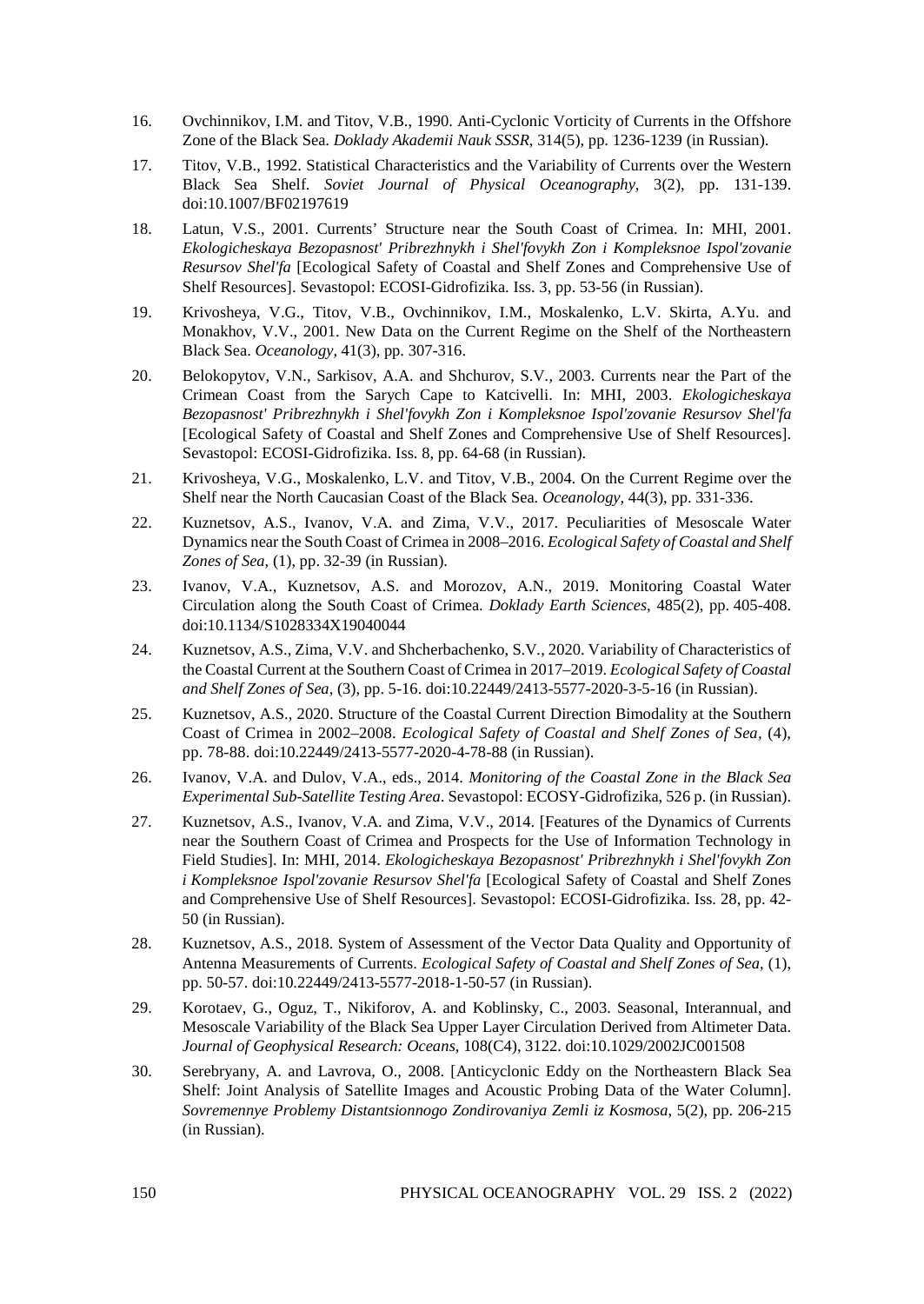- 16. Ovchinnikov, I.M. and Titov, V.B., 1990. Anti-Cyclonic Vorticity of Currents in the Offshore Zone of the Black Sea. *Doklady Akademii Nauk SSSR*, 314(5), pp. 1236-1239 (in Russian).
- 17. Titov, V.B., 1992. Statistical Characteristics and the Variability of Currents over the Western Black Sea Shelf. *Soviet Journal of Physical Oceanography,* 3(2), pp. 131-139. doi:10.1007/BF02197619
- 18. Latun, V.S., 2001. Currents' Structure near the South Coast of Crimea. In: MHI, 2001. *Ekologicheskaya Bezopasnost' Pribrezhnykh i Shel'fovykh Zon i Kompleksnoe Ispol'zovanie Resursov Shel'fa* [Ecological Safety of Coastal and Shelf Zones and Comprehensive Use of Shelf Resources]. Sevastopol: ECOSI-Gidrofizika. Iss. 3, pp. 53-56 (in Russian).
- 19. Krivosheya, V.G., Titov, V.B., Ovchinnikov, I.M., Moskalenko, L.V. Skirta, A.Yu. and Monakhov, V.V., 2001. New Data on the Current Regime on the Shelf of the Northeastern Black Sea. *Oceanology,* 41(3), pp. 307-316.
- 20. Belokopytov, V.N., Sarkisov, A.A. and Shchurov, S.V*.,* 2003. Currents near the Part of the Crimean Coast from the Sarych Cape to Katcivelli. In: MHI, 2003. *Ekologicheskaya Bezopasnost' Pribrezhnykh i Shel'fovykh Zon i Kompleksnoe Ispol'zovanie Resursov Shel'fa*  [Ecological Safety of Coastal and Shelf Zones and Comprehensive Use of Shelf Resources]. Sevastopol: ECOSI-Gidrofizika. Iss. 8, pp. 64-68 (in Russian).
- 21. Krivosheya, V.G., Moskalenko, L.V. and Titov, V.B., 2004. On the Current Regime over the Shelf near the North Caucasian Coast of the Black Sea. *Oceanology,* 44(3), pp. 331-336.
- 22. Kuznetsov, A.S., Ivanov, V.A. and Zima, V.V., 2017. Peculiarities of Mesoscale Water Dynamics near the South Coast of Crimea in 2008–2016. *Ecological Safety of Coastal and Shelf Zones of Sea,* (1), pp. 32-39 (in Russian).
- 23. Ivanov, V.A., Kuznetsov, A.S. and Morozov, A.N., 2019. Monitoring Coastal Water Circulation along the South Coast of Crimea. *Doklady Earth Sciences*, 485(2), pp. 405-408. doi:10.1134/S1028334X19040044
- 24. Kuznetsov, A.S., Zima, V.V. and Shcherbachenko, S.V*.*, 2020. Variability of Characteristics of the Coastal Current at the Southern Coast of Crimea in 2017–2019. *Ecological Safety of Coastal and Shelf Zones of Sea,* (3), pp. 5-16. doi:10.22449/2413-5577-2020-3-5-16 (in Russian).
- 25. Kuznetsov, A.S., 2020. Structure of the Coastal Current Direction Bimodality at the Southern Coast of Crimea in 2002–2008. *Ecological Safety of Coastal and Shelf Zones of Sea,* (4), pp. 78-88. doi:10.22449/2413-5577-2020-4-78-88 (in Russian).
- 26. Ivanov, V.A. and Dulov, V.A., eds., 2014. *Monitoring of the Coastal Zone in the Black Sea Experimental Sub-Satellite Testing Area*. Sevastopol: ECOSY-Gidrofizika, 526 p. (in Russian).
- 27. Kuznetsov, A.S., Ivanov, V.A. and Zima, V.V., 2014. [Features of the Dynamics of Currents near the Southern Coast of Crimea and Prospects for the Use of Information Technology in Field Studies]. In: MHI, 2014. *Ekologicheskaya Bezopasnost' Pribrezhnykh i Shel'fovykh Zon i Kompleksnoe Ispol'zovanie Resursov Shel'fa* [Ecological Safety of Coastal and Shelf Zones and Comprehensive Use of Shelf Resources]. Sevastopol: ECOSI-Gidrofizika. Iss. 28, pp. 42- 50 (in Russian).
- 28. Kuznetsov, A.S., 2018. System of Assessment of the Vector Data Quality and Opportunity of Antenna Measurements of Currents. *Ecological Safety of Coastal and Shelf Zones of Sea,* (1), pp. 50-57. doi:10.22449/2413-5577-2018-1-50-57 (in Russian).
- 29. Korotaev, G., Oguz, T., Nikiforov, A. and Koblinsky, C., 2003. Seasonal, Interannual, and Mesoscale Variability of the Black Sea Upper Layer Circulation Derived from Altimeter Data. *Journal of Geophysical Research: Oceans,* 108(C4), 3122. doi:10.1029/2002JC001508
- 30. Serebryany, A. and Lavrova, O., 2008. [Anticyclonic Eddy on the Northeastern Black Sea Shelf: Joint Analysis of Satellite Images and Acoustic Probing Data of the Water Column]. *Sovremennye Problemy Distantsionnogo Zondirovaniya Zemli iz Kosmosa*, 5(2), pp. 206-215 (in Russian).